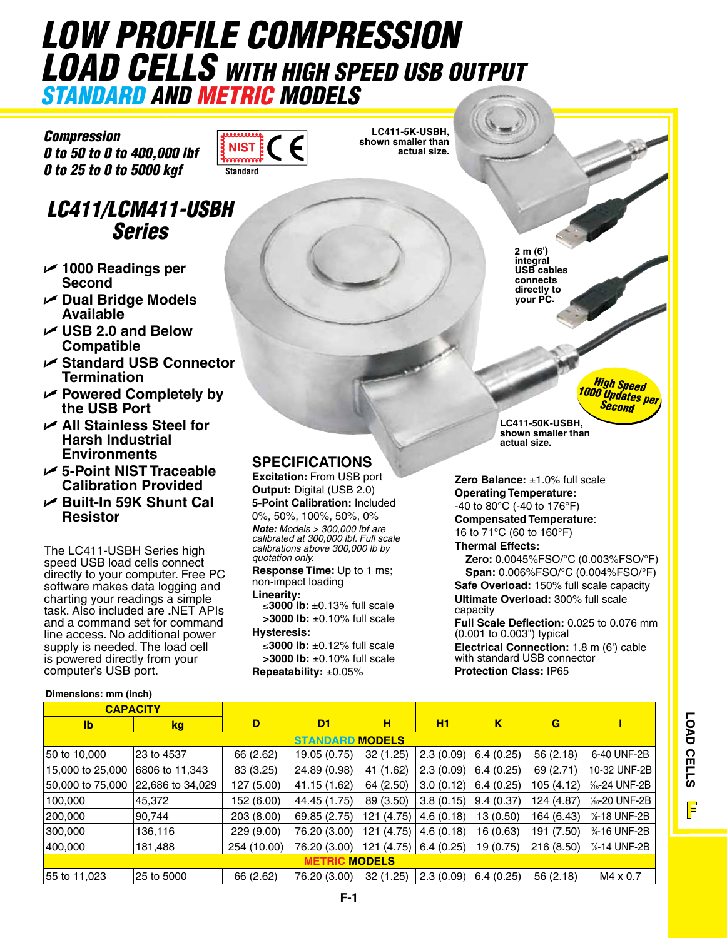# *Low Profile Compression Load Cells With High Speed USB Output STANDARD AND METRIC MODELS*

**NIS Standard**

**LC411-5K-USBH, shown smaller than actual size.**

*Compression 0 to 50 to 0 to 400,000 lbf 0 to 25 to 0 to 5000 kgf*

# *LC411/LCM411-USBH Series*

- U **1000 Readings per Second**
- U **Dual Bridge Models Available**
- U **USB 2.0 and Below Compatible**
- U **Standard USB Connector Termination**
- U **Powered Completely by the USB Port**
- U **All Stainless Steel for Harsh Industrial Environments**
- U **5-Point NIST Traceable Calibration Provided**
- U **Built-In 59K Shunt Cal Resistor**

The LC411-USBH Series high speed USB load cells connect directly to your computer. Free PC software makes data logging and charting your readings a simple task. Also included are **.**NET APIs and a command set for command line access. No additional power supply is needed. The load cell is powered directly from your computer's USB port.

#### **Dimensions: mm (inch)**

## **SPECIFICATIONS**

**Excitation:** From USB port **Output:** Digital (USB 2.0) **5-Point Calibration:** Included

0%, 50%, 100%, 50%, 0%

*Note: Models > 300,000 lbf are calibrated at 300,000 lbf. Full scale calibrations above 300,000 lb by quotation only.*

**Response Time:** Up to 1 ms; non-impact loading **Linearity:**

≤**3000 lb:** ±0.13% full scale **>3000 lb:** ±0.10% full scale **Hysteresis:**

≤**3000 lb:** ±0.12% full scale **>3000 lb:** ±0.10% full scale **Repeatability:** ±0.05%

**2 m (6') integral USB cables connects directly to your PC.**

> *High Speed 1000 Updates per Second*

**LC411-50K-USBH, shown smaller than actual size.**

**Zero Balance:** ±1.0% full scale **Operating Temperature:** -40 to 80°C (-40 to 176°F)

**Compensated Temperature**:

16 to 71°C (60 to 160°F) **Thermal Effects:**

**Zero:** 0.0045%FSO/°C (0.003%FSO/°F) **Span:** 0.006%FSO/°C (0.004%FSO/°F) **Safe Overload:** 150% full scale capacity **Ultimate Overload:** 300% full scale capacity

**Full Scale Deflection:** 0.025 to 0.076 mm (0.001 to 0.003") typical

**Electrical Connection:** 1.8 m (6') cable with standard USB connector **Protection Class:** IP65

| <b>CAPACITY</b>               |                  |             |              |            |                         |           |            |                                        |
|-------------------------------|------------------|-------------|--------------|------------|-------------------------|-----------|------------|----------------------------------------|
| $\mathsf{lb}$                 | <u>kg</u>        | D           | D1.          | н          | <b>H1</b>               | κ         | G          |                                        |
| <b>STANDARD MODELS</b>        |                  |             |              |            |                         |           |            |                                        |
| 50 to 10,000                  | 23 to 4537       | 66 (2.62)   | 19.05 (0.75) | 32 (1.25)  | 2.3(0.09)               | 6.4(0.25) | 56 (2.18)  | 6-40 UNF-2B                            |
| 15,000 to 25,000              | 6806 to 11,343   | 83 (3.25)   | 24.89 (0.98) | 41 (1.62)  | 2.3(0.09)               | 6.4(0.25) | 69 (2.71)  | 10-32 UNF-2B                           |
| 50,000 to 75,000              | 22,686 to 34,029 | 127 (5.00)  | 41.15 (1.62) | 64 (2.50)  | 3.0(0.12)               | 6.4(0.25) | 105 (4.12) | <sup>5</sup> / <sub>6</sub> -24 UNF-2B |
| 100,000                       | 45,372           | 152 (6.00)  | 44.45 (1.75) | 89 (3.50)  | 3.8(0.15)               | 9.4(0.37) | 124 (4.87) | 1/ <sub>6</sub> -20 UNF-2B             |
| 200,000                       | 90,744           | 203 (8.00)  | 69.85 (2.75) | 121 (4.75) | 4.6(0.18)               | 13 (0.50) | 164 (6.43) | %-18 UNF-2B                            |
| 300,000                       | 136,116          | 229 (9.00)  | 76.20 (3.00) | 121 (4.75) | 4.6(0.18)               | 16 (0.63) | 191 (7.50) | 34-16 UNF-2B                           |
| 400,000                       | 181,488          | 254 (10.00) | 76.20 (3.00) |            | 121 (4.75)   6.4 (0.25) | 19 (0.75) | 216(8.50)  | %-14 UNF-2B                            |
| <b>MODELS</b><br><b>METRI</b> |                  |             |              |            |                         |           |            |                                        |
| 55 to 11,023                  | 25 to 5000       | 66 (2.62)   | 76.20 (3.00) | 32 (1.25)  | 2.3 (0.09)              | 6.4(0.25) | 56(2.18)   | M4 x 0.7                               |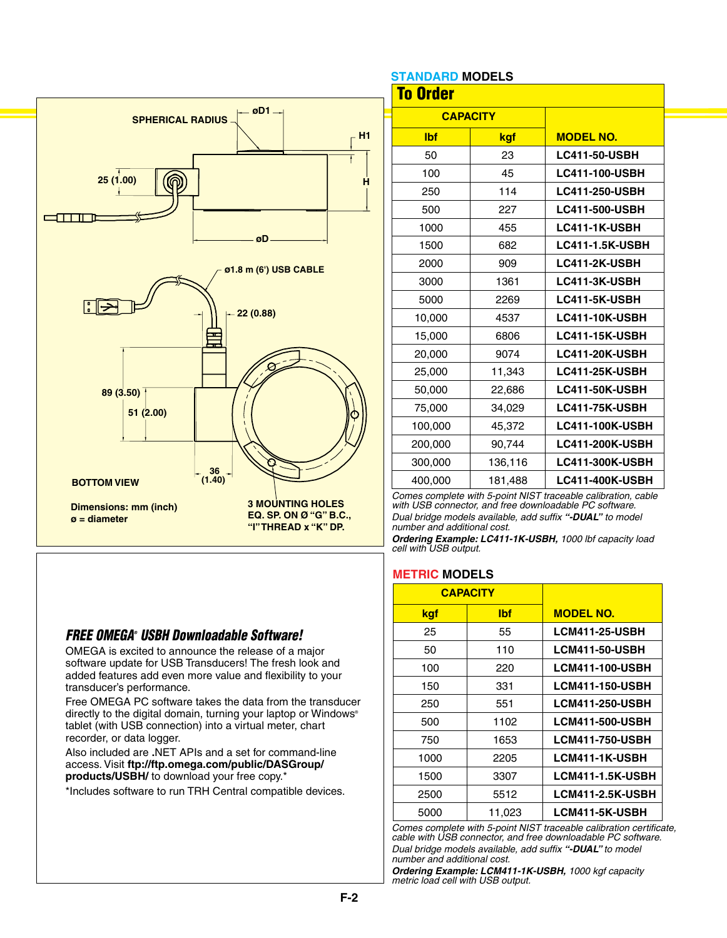

### *FREE OMEGA® USBH Downloadable Software!*

OMEGA is excited to announce the release of a major software update for USB Transducers! The fresh look and added features add even more value and flexibility to your transducer's performance.

Free OMEGA PC software takes the data from the transducer directly to the digital domain, turning your laptop or Windows® tablet (with USB connection) into a virtual meter, chart recorder, or data logger.

Also included are **.**NET APIs and a set for command-line access. Visit **ftp://ftp.omega.com/public/DASGroup/ products/USBH/** to download your free copy.\*

\*Includes software to run TRH Central compatible devices.

### **STANDARD MODELS**

| טשבעטווו שוותשוור<br><b>To Order</b> |         |                        |  |  |  |  |
|--------------------------------------|---------|------------------------|--|--|--|--|
| <b>CAPACITY</b>                      |         |                        |  |  |  |  |
| <b>Ibf</b>                           | kgf     | <b>MODEL NO.</b>       |  |  |  |  |
| 50                                   | 23      | <b>LC411-50-USBH</b>   |  |  |  |  |
| 100                                  | 45      | <b>LC411-100-USBH</b>  |  |  |  |  |
| 250                                  | 114     | <b>LC411-250-USBH</b>  |  |  |  |  |
| 500                                  | 227     | <b>LC411-500-USBH</b>  |  |  |  |  |
| 1000                                 | 455     | LC411-1K-USBH          |  |  |  |  |
| 1500                                 | 682     | <b>LC411-1.5K-USBH</b> |  |  |  |  |
| 2000                                 | 909     | LC411-2K-USBH          |  |  |  |  |
| 3000                                 | 1361    | LC411-3K-USBH          |  |  |  |  |
| 5000                                 | 2269    | LC411-5K-USBH          |  |  |  |  |
| 10,000                               | 4537    | <b>LC411-10K-USBH</b>  |  |  |  |  |
| 15,000                               | 6806    | <b>LC411-15K-USBH</b>  |  |  |  |  |
| 20,000                               | 9074    | <b>LC411-20K-USBH</b>  |  |  |  |  |
| 25,000                               | 11,343  | <b>LC411-25K-USBH</b>  |  |  |  |  |
| 50,000                               | 22,686  | <b>LC411-50K-USBH</b>  |  |  |  |  |
| 75,000                               | 34,029  | <b>LC411-75K-USBH</b>  |  |  |  |  |
| 100,000                              | 45,372  | <b>LC411-100K-USBH</b> |  |  |  |  |
| 200,000                              | 90,744  | <b>LC411-200K-USBH</b> |  |  |  |  |
| 300,000                              | 136,116 | <b>LC411-300K-USBH</b> |  |  |  |  |
| 400,000                              | 181,488 | <b>LC411-400K-USBH</b> |  |  |  |  |

*Comes complete with 5-point NIST traceable calibration, cable with USB connector, and free downloadable PC software. Dual bridge models available, add suffix "-DUAL" to model number and additional cost.*

*Ordering Example: LC411-1K-USBH, 1000 lbf capacity load cell with USB output.*

#### **METRIC MODELS**

|      | <b>CAPACITY</b> |                         |
|------|-----------------|-------------------------|
| kgf  | lbf             | <b>MODEL NO.</b>        |
| 25   | 55              | <b>LCM411-25-USBH</b>   |
| 50   | 110             | <b>LCM411-50-USBH</b>   |
| 100  | 220             | <b>LCM411-100-USBH</b>  |
| 150  | 331             | <b>LCM411-150-USBH</b>  |
| 250  | 551             | <b>LCM411-250-USBH</b>  |
| 500  | 1102            | <b>LCM411-500-USBH</b>  |
| 750  | 1653            | <b>LCM411-750-USBH</b>  |
| 1000 | 2205            | <b>LCM411-1K-USBH</b>   |
| 1500 | 3307            | <b>LCM411-1.5K-USBH</b> |
| 2500 | 5512            | <b>LCM411-2.5K-USBH</b> |
| 5000 | 11,023          | <b>LCM411-5K-USBH</b>   |

*Comes complete with 5-point NIST traceable calibration certificate, cable with USB connector, and free downloadable PC software.*

*Dual bridge models available, add suffix "-DUAL" to model number and additional cost.*

*Ordering Example: LCM411-1K-USBH, 1000 kgf capacity metric load cell with USB output.*